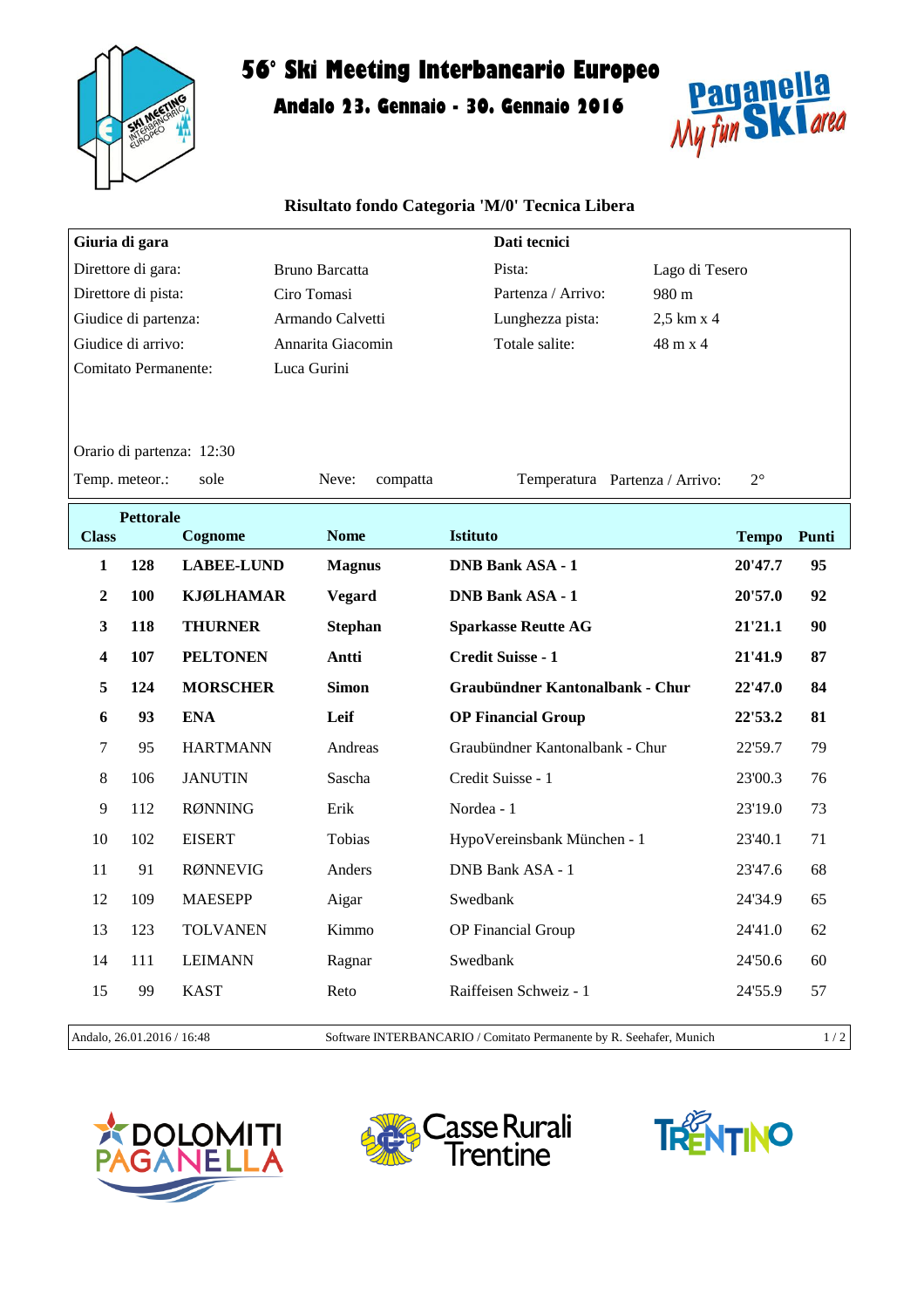

## **56° Ski Meeting Interbancario Europeo**

**Andalo 23. Gennaio - 30. Gennaio 2016**



## **Risultato fondo Categoria 'M/0' Tecnica Libera**

|                                                                                                        | Giuria di gara |                   |                       | Dati tecnici                              |         |    |  |  |  |  |  |  |
|--------------------------------------------------------------------------------------------------------|----------------|-------------------|-----------------------|-------------------------------------------|---------|----|--|--|--|--|--|--|
| Direttore di gara:                                                                                     |                |                   | <b>Bruno Barcatta</b> | Pista:<br>Lago di Tesero                  |         |    |  |  |  |  |  |  |
| Direttore di pista:                                                                                    |                |                   | Ciro Tomasi           | Partenza / Arrivo:<br>980 m               |         |    |  |  |  |  |  |  |
| Giudice di partenza:                                                                                   |                |                   | Armando Calvetti      | Lunghezza pista:<br>2,5 km x 4            |         |    |  |  |  |  |  |  |
| Giudice di arrivo:                                                                                     |                |                   | Annarita Giacomin     | Totale salite:<br>$48 \text{ m} \times 4$ |         |    |  |  |  |  |  |  |
| <b>Comitato Permanente:</b>                                                                            |                |                   | Luca Gurini           |                                           |         |    |  |  |  |  |  |  |
| Orario di partenza: 12:30                                                                              |                |                   |                       |                                           |         |    |  |  |  |  |  |  |
| Temp. meteor.:<br>$2^{\circ}$<br>sole<br>Neve:<br>Temperatura Partenza / Arrivo:<br>compatta           |                |                   |                       |                                           |         |    |  |  |  |  |  |  |
| <b>Pettorale</b><br><b>Istituto</b><br><b>Nome</b><br>Cognome<br>Punti<br><b>Class</b><br><b>Tempo</b> |                |                   |                       |                                           |         |    |  |  |  |  |  |  |
| 1                                                                                                      | 128            | <b>LABEE-LUND</b> | <b>Magnus</b>         | <b>DNB Bank ASA - 1</b>                   | 20'47.7 | 95 |  |  |  |  |  |  |
|                                                                                                        |                |                   |                       |                                           |         |    |  |  |  |  |  |  |
| $\mathbf{2}$                                                                                           | 100            | <b>KJØLHAMAR</b>  | <b>Vegard</b>         | <b>DNB Bank ASA - 1</b>                   | 20'57.0 | 92 |  |  |  |  |  |  |
| 3                                                                                                      | 118            | <b>THURNER</b>    | <b>Stephan</b>        | <b>Sparkasse Reutte AG</b>                | 21'21.1 | 90 |  |  |  |  |  |  |
| 4                                                                                                      | 107            | <b>PELTONEN</b>   | Antti                 | Credit Suisse - 1                         | 21'41.9 | 87 |  |  |  |  |  |  |
| 5                                                                                                      | 124            | <b>MORSCHER</b>   | <b>Simon</b>          | Graubündner Kantonalbank - Chur           | 22'47.0 | 84 |  |  |  |  |  |  |
| 6                                                                                                      | 93             | <b>ENA</b>        | Leif                  | <b>OP Financial Group</b>                 | 22'53.2 | 81 |  |  |  |  |  |  |
| 7                                                                                                      | 95             | <b>HARTMANN</b>   | Andreas               | Graubündner Kantonalbank - Chur           | 22'59.7 | 79 |  |  |  |  |  |  |
| 8                                                                                                      | 106            | <b>JANUTIN</b>    | Sascha                | Credit Suisse - 1                         | 23'00.3 | 76 |  |  |  |  |  |  |
| 9                                                                                                      | 112            | <b>RØNNING</b>    | Erik                  | Nordea - 1                                | 23'19.0 | 73 |  |  |  |  |  |  |
| 10                                                                                                     | 102            | <b>EISERT</b>     | Tobias                | HypoVereinsbank München - 1               | 23'40.1 | 71 |  |  |  |  |  |  |
| 11                                                                                                     | 91             | <b>RØNNEVIG</b>   | Anders                | DNB Bank ASA - 1                          | 23'47.6 | 68 |  |  |  |  |  |  |
| 12                                                                                                     | 109            | <b>MAESEPP</b>    | Aigar                 | Swedbank                                  | 24'34.9 | 65 |  |  |  |  |  |  |
| 13                                                                                                     | 123            | <b>TOLVANEN</b>   | Kimmo                 | OP Financial Group                        | 24'41.0 | 62 |  |  |  |  |  |  |
| 14                                                                                                     | 111            | <b>LEIMANN</b>    | Ragnar                | Swedbank                                  | 24'50.6 | 60 |  |  |  |  |  |  |
| 15                                                                                                     | 99             | <b>KAST</b>       | Reto                  | Raiffeisen Schweiz - 1                    | 24'55.9 | 57 |  |  |  |  |  |  |
|                                                                                                        |                |                   |                       |                                           |         |    |  |  |  |  |  |  |

Andalo, 26.01.2016 / 16:48 Software INTERBANCARIO / Comitato Permanente by R. Seehafer, Munich 1 / 2

**OLOMITI**<br>ANELLA